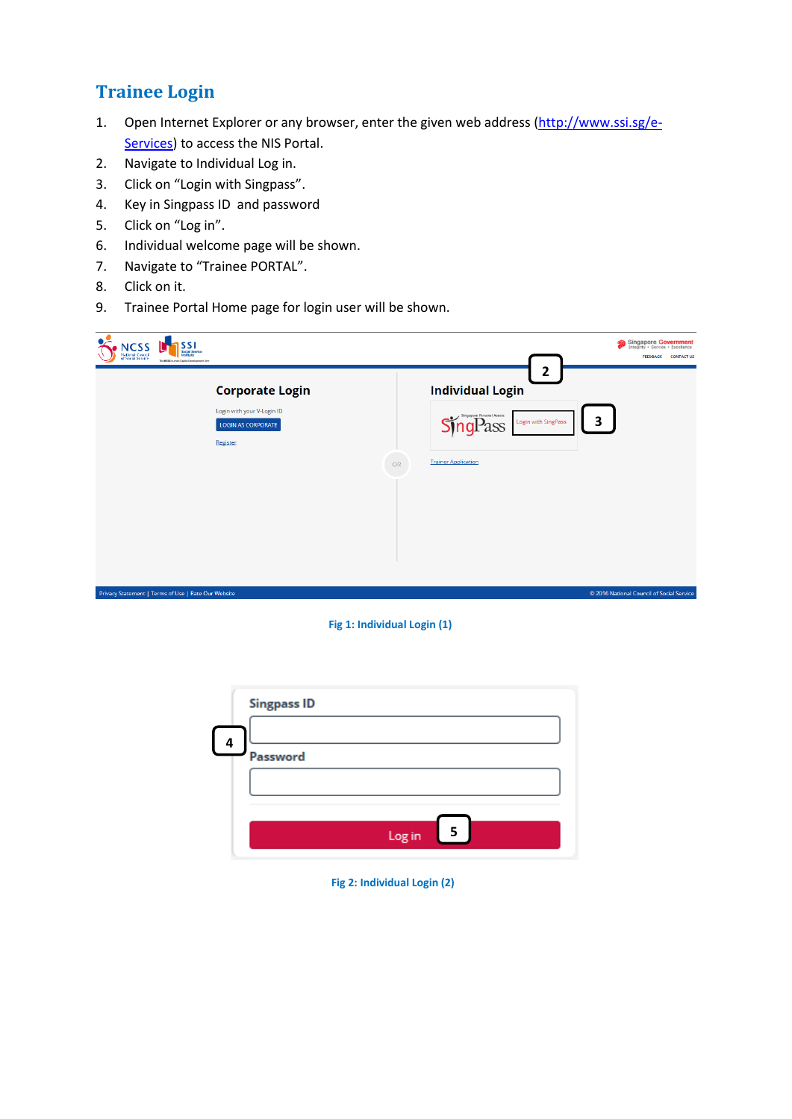# **Trainee Login**

- 1. Open Internet Explorer or any browser, enter the given web address [\(http://www.ssi.sg/e-](http://www.ssi.sg/e-Services)[Services\)](http://www.ssi.sg/e-Services) to access the NIS Portal.
- 2. Navigate to Individual Log in.
- 3. Click on "Login with Singpass".
- 4. Key in Singpass ID and password
- 5. Click on "Log in".
- 6. Individual welcome page will be shown.
- 7. Navigate to "Trainee PORTAL".
- 8. Click on it.
- 9. Trainee Portal Home page for login user will be shown.

| <b>NCSS</b><br>SSI<br><b>Social Service</b><br>Institute<br><b>National Council</b><br>of Social Service<br>The NCSS Human Capital Development Ann | Singapore Government<br><b>CONTACT US</b><br><b>FEEDBACK</b>                                                                                                   |
|----------------------------------------------------------------------------------------------------------------------------------------------------|----------------------------------------------------------------------------------------------------------------------------------------------------------------|
| <b>Corporate Login</b><br>Login with your V-Login ID<br>LOGIN AS CORPORATE<br>Register                                                             | $\overline{2}$<br><b>Individual Login</b><br>Singapore Personal Access<br>3<br>Login with SingPass<br>$^{\circ}$ SS<br><b>Trainer Application</b><br><b>OR</b> |
| Privacy Statement   Terms of Use   Rate Our Website                                                                                                | © 2016 National Council of Social Service                                                                                                                      |

## **Fig 1: Individual Login (1)**

|   | <b>Singpass ID</b> |
|---|--------------------|
| 4 | Password           |
|   |                    |
|   | Log in<br>5        |

## **Fig 2: Individual Login (2)**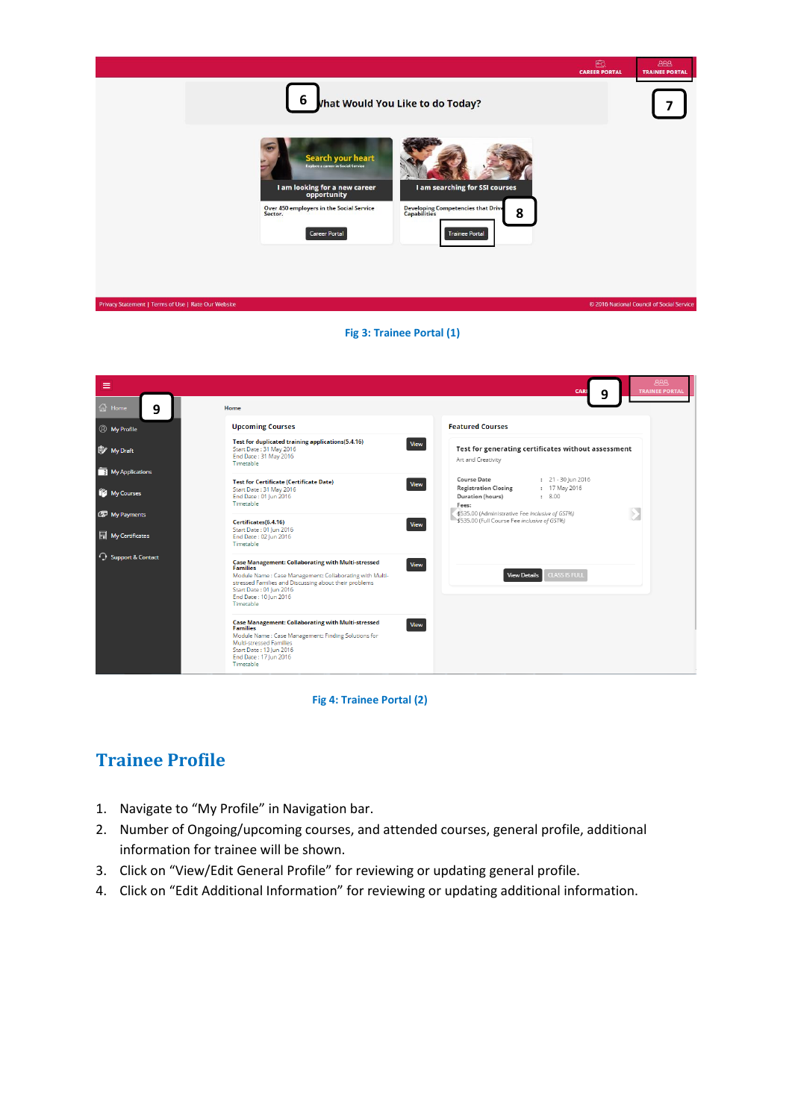

## **Fig 3: Trainee Portal (1)**

| $\equiv$                                                    |                                                                                                                                                                                                                                                                    | <b>AAA</b><br>CARE<br><b>TRAINEE PORTAL</b><br>9                                                                         |
|-------------------------------------------------------------|--------------------------------------------------------------------------------------------------------------------------------------------------------------------------------------------------------------------------------------------------------------------|--------------------------------------------------------------------------------------------------------------------------|
| $\widehat{m}$ Home<br>9                                     | Home                                                                                                                                                                                                                                                               |                                                                                                                          |
| <b><i>Q</i></b> My Profile                                  | <b>Upcoming Courses</b>                                                                                                                                                                                                                                            | <b>Featured Courses</b>                                                                                                  |
| <sup>B</sup> My Draft                                       | Test for duplicated training applications(5.4.16)<br>Start Date: 31 May 2016<br>End Date: 31 May 2016<br>Timetable                                                                                                                                                 | View<br>Test for generating certificates without assessment<br>Art and Creativity                                        |
| My Applications                                             | <b>Test for Certificate (Certificate Date)</b>                                                                                                                                                                                                                     | Course Date<br>$: 21 - 30$ Jun 2016                                                                                      |
| My Courses                                                  | Start Date: 31 May 2016<br>End Date: 01 Jun 2016<br>Timetable                                                                                                                                                                                                      | <b>View</b><br><b>Registration Closing</b><br>: 17 May 2016<br>Duration (hours)<br>: 8.00<br>Fees:                       |
| My Payments                                                 | Certificates(6.4.16)                                                                                                                                                                                                                                               | \$535.00 (Administrative Fee inclusive of GST%)<br>$\rightarrow$<br>\$535.00 (Full Course Fee inclusive of GST%)<br>View |
| $\begin{array}{ c c }\n\hline\n\end{array}$ My Certificates | Start Date: 01 Jun 2016<br>End Date: 02 Jun 2016<br>Timetable                                                                                                                                                                                                      |                                                                                                                          |
| <b>C</b> Support & Contact                                  | <b>Case Management: Collaborating with Multi-stressed</b><br><b>Families</b><br>Module Name : Case Management: Collaborating with Multi-<br>stressed Families and Discussing about their problems<br>Start Date: 01 Jun 2016<br>End Date: 10 Jun 2016<br>Timetable | View<br><b>CLASS IS FULL</b><br>View Details                                                                             |
|                                                             | <b>Case Management: Collaborating with Multi-stressed</b><br><b>Families</b><br>Module Name: Case Management: Finding Solutions for<br>Multi-stressed Families<br>Start Date: 13 Jun 2016<br>End Date: 17 Jun 2016<br>Timetable                                    | View                                                                                                                     |

## **Fig 4: Trainee Portal (2)**

## **Trainee Profile**

- 1. Navigate to "My Profile" in Navigation bar.
- 2. Number of Ongoing/upcoming courses, and attended courses, general profile, additional information for trainee will be shown.
- 3. Click on "View/Edit General Profile" for reviewing or updating general profile.
- 4. Click on "Edit Additional Information" for reviewing or updating additional information.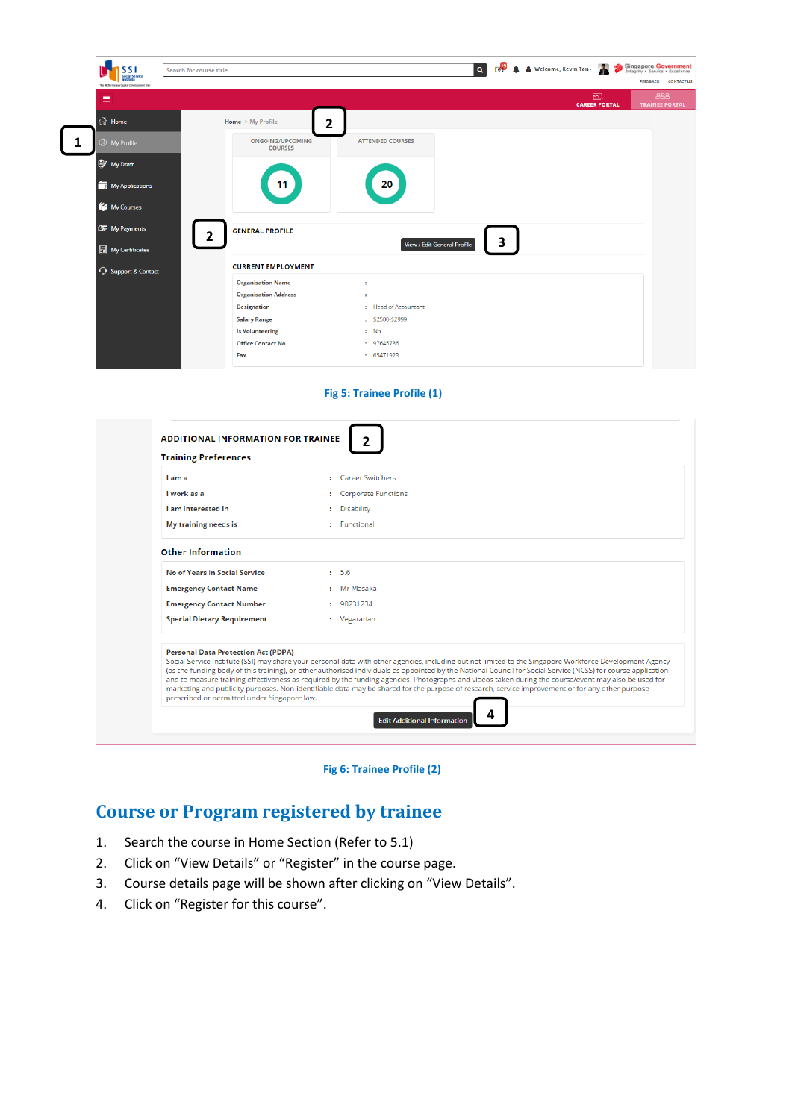

**Fig 5: Trainee Profile (1)**

| <b>Training Preferences</b>                                                                |                                                                                                                                                                                                                                                                                                                                                                                                                                                                                                                                                                                                                                      |
|--------------------------------------------------------------------------------------------|--------------------------------------------------------------------------------------------------------------------------------------------------------------------------------------------------------------------------------------------------------------------------------------------------------------------------------------------------------------------------------------------------------------------------------------------------------------------------------------------------------------------------------------------------------------------------------------------------------------------------------------|
| I am a                                                                                     | : Career Switchers                                                                                                                                                                                                                                                                                                                                                                                                                                                                                                                                                                                                                   |
| I work as a                                                                                | : Corporate Functions                                                                                                                                                                                                                                                                                                                                                                                                                                                                                                                                                                                                                |
| I am interested in                                                                         | : Disability                                                                                                                                                                                                                                                                                                                                                                                                                                                                                                                                                                                                                         |
| My training needs is                                                                       | : Functional                                                                                                                                                                                                                                                                                                                                                                                                                                                                                                                                                                                                                         |
| <b>Other Information</b>                                                                   |                                                                                                                                                                                                                                                                                                                                                                                                                                                                                                                                                                                                                                      |
| <b>No of Years in Social Service</b>                                                       | $1 - 5.6$                                                                                                                                                                                                                                                                                                                                                                                                                                                                                                                                                                                                                            |
| <b>Emergency Contact Name</b>                                                              | : Mr Masaka                                                                                                                                                                                                                                                                                                                                                                                                                                                                                                                                                                                                                          |
| <b>Emergency Contact Number</b>                                                            | : 90231234                                                                                                                                                                                                                                                                                                                                                                                                                                                                                                                                                                                                                           |
| <b>Special Dietary Requirement</b>                                                         | : Vegatarian                                                                                                                                                                                                                                                                                                                                                                                                                                                                                                                                                                                                                         |
| <b>Personal Data Protection Act (PDPA)</b><br>prescribed or permitted under Singapore law. | Social Service Institute (SSI) may share your personal data with other agencies, including but not limited to the Singapore Workforce Development Agency<br>(as the funding body of this training), or other authorised individuals as appointed by the National Council for Social Service (NCSS) for course application<br>and to measure training effectiveness as required by the funding agencies. Photographs and videos taken during the course/event may also be used for<br>marketing and publicity purposes. Non-identifiable data may be shared for the purpose of research, service improvement or for any other purpose |



# **Course or Program registered by trainee**

- 1. Search the course in Home Section (Refer to 5.1)
- 2. Click on "View Details" or "Register" in the course page.
- 3. Course details page will be shown after clicking on "View Details".
- 4. Click on "Register for this course".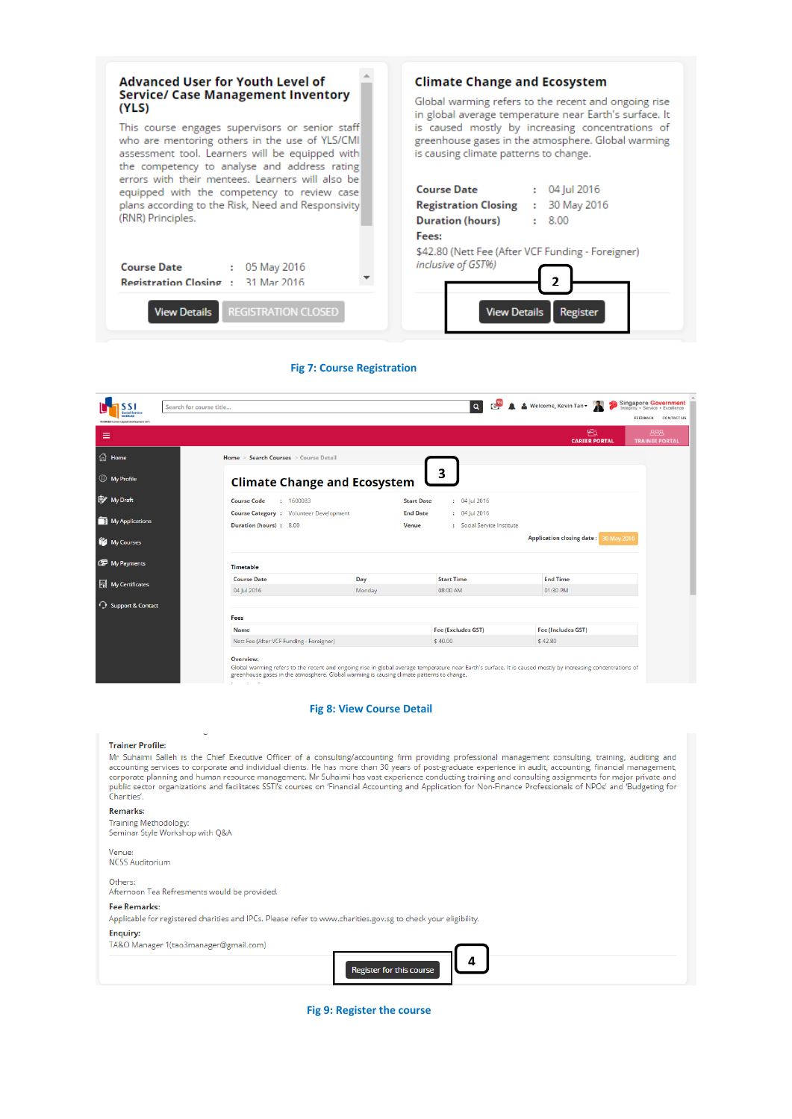

### **Fig 7: Course Registration**

| ocial Servic                           | Search for course title                        |        |                                      | Q O A & Welcome, Kevin Tan v          | <b>Singapore Government</b>          |
|----------------------------------------|------------------------------------------------|--------|--------------------------------------|---------------------------------------|--------------------------------------|
| The NCSS Human Capital Development Are |                                                |        |                                      |                                       | <b>FEEDBACK</b><br><b>CONTACT US</b> |
| ≡                                      |                                                |        |                                      | 函<br><b>CAREER PORTAL</b>             | <b>AAA</b><br><b>TRAINEE PORTAL</b>  |
| <b>偷</b> Home                          | Home > Search Courses > Course Detail          |        |                                      |                                       |                                      |
| <b><i>Q</i></b> My Profile             | <b>Climate Change and Ecosystem</b>            |        | 3                                    |                                       |                                      |
| My Draft                               | <b>Course Code</b><br>: 1600083                |        | <b>Start Date</b><br>$: 04$ Jul 2016 |                                       |                                      |
|                                        | <b>Course Category : Volunteer Development</b> |        | <b>End Date</b><br>$: 04$ Jul 2016   |                                       |                                      |
| My Applications                        | Duration (hours): 8.00                         |        | Venue<br>: Social Service Institute  |                                       |                                      |
| My Courses                             |                                                |        |                                      | Application closing date: 30 May 2016 |                                      |
| My Payments                            | <b>Timetable</b>                               |        |                                      |                                       |                                      |
| My Certificates                        | <b>Course Date</b>                             | Day    | <b>Start Time</b>                    | <b>End Time</b>                       |                                      |
|                                        | 04 Jul 2016                                    | Monday | 08:00 AM                             | 01:30 PM                              |                                      |
| <b>C</b> Support & Contact             |                                                |        |                                      |                                       |                                      |
|                                        | Fees                                           |        |                                      |                                       |                                      |
|                                        |                                                |        | Fee (Excludes GST)                   | <b>Fee (Includes GST)</b>             |                                      |
|                                        | Name                                           |        |                                      |                                       |                                      |

## **Fig 8: View Course Detail**

#### **Trainer Profile:**

Mr Suhaimi Salleh is the Chief Executive Officer of a consulting/accounting firm providing professional management consulting, training, auditing and<br>accounting services to corporate and individual clients. He has more tha or public sector organizations and facilitates SSTI's courses on 'Financial Accounting and Application for Non-Finance Professionals of NPOs' and 'Budgeting for<br>Charities'.

#### **Remarks:**

Training Methodology:<br>Seminar Style Workshop with Q&A

### Venue:

**NCSS Auditorium** 

Others: Afternoon Tea Refresments would be provided.

### **Fee Remarks:**

Applicable for registered charities and IPCs. Please refer to www.charities.gov.sg to check your eligibility.

### **Enquiry:**

TA&O Manager 1(tao3manager@gmail.com)



 **Fig 9: Register the course**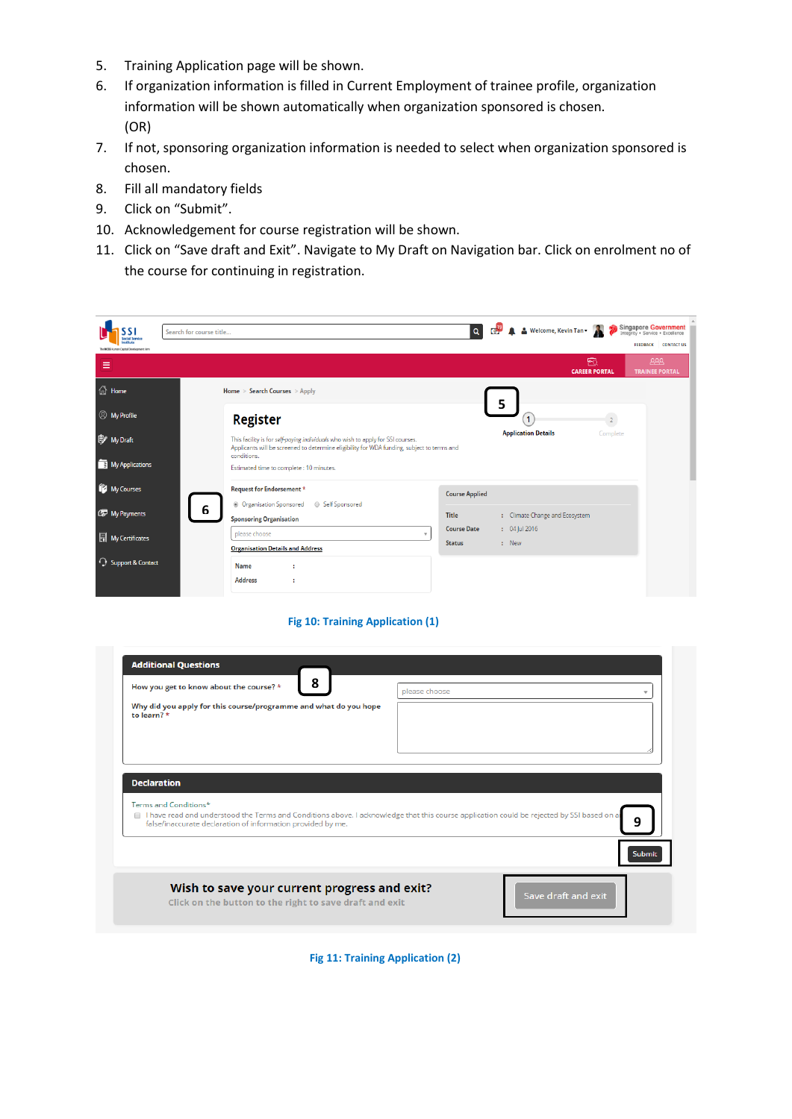- 5. Training Application page will be shown.
- 6. If organization information is filled in Current Employment of trainee profile, organization information will be shown automatically when organization sponsored is chosen. (OR)
- 7. If not, sponsoring organization information is needed to select when organization sponsored is chosen.
- 8. Fill all mandatory fields
- 9. Click on "Submit".
- 10. Acknowledgement for course registration will be shown.
- 11. Click on "Save draft and Exit". Navigate to My Draft on Navigation bar. Click on enrolment no of the course for continuing in registration.

| ocial Servic<br>The NCSS Human Capital Development Arm | Search for course title                                                                                                                                                       |                                     |   | Q O A Melcome, Kevin Tan +     |                           | Singapore Government<br><b>FEEDBACK</b> | <b>CONTACT US</b> |  |
|--------------------------------------------------------|-------------------------------------------------------------------------------------------------------------------------------------------------------------------------------|-------------------------------------|---|--------------------------------|---------------------------|-----------------------------------------|-------------------|--|
| Ξ                                                      |                                                                                                                                                                               |                                     |   |                                | 凾<br><b>CAREER PORTAL</b> | <b>ABB</b><br><b>TRAINEE PORTAL</b>     |                   |  |
| 1 <sup>1</sup> / <sub>11</sub> Home                    | Home > Search Courses > Apply                                                                                                                                                 |                                     |   |                                |                           |                                         |                   |  |
| <b><i>Q</i></b> My Profile                             | <b>Register</b>                                                                                                                                                               |                                     | 5 | 1                              | $\overline{2}$            |                                         |                   |  |
| My Draft                                               | This facility is for self-paying individuals who wish to apply for SSI courses.<br>Applicants will be screened to determine eligibility for WDA funding, subject to terms and |                                     |   | <b>Application Details</b>     | Complete                  |                                         |                   |  |
| My Applications                                        | conditions.<br>Estimated time to complete: 10 minutes.                                                                                                                        |                                     |   |                                |                           |                                         |                   |  |
| My Courses                                             | Request for Endorsement *<br><b>O</b> Organisation Sponsored<br>Self Sponsored                                                                                                | <b>Course Applied</b>               |   |                                |                           |                                         |                   |  |
| My Payments                                            | 6<br><b>Sponsoring Organisation</b>                                                                                                                                           | Title                               |   | : Climate Change and Ecosystem |                           |                                         |                   |  |
| My Certificates                                        | please choose<br><b>Organisation Details and Address</b>                                                                                                                      | <b>Course Date</b><br><b>Status</b> |   | $: 04$ Jul 2016<br>: New       |                           |                                         |                   |  |
| <b>C</b> Support & Contact                             | Name<br><b>Address</b>                                                                                                                                                        |                                     |   |                                |                           |                                         |                   |  |

 **Fig 10: Training Application (1)**

| 8<br>How you get to know about the course? *                                                                                                                                                              | please choose |
|-----------------------------------------------------------------------------------------------------------------------------------------------------------------------------------------------------------|---------------|
| Why did you apply for this course/programme and what do you hope<br>to learn? $\star$                                                                                                                     |               |
|                                                                                                                                                                                                           |               |
| I have read and understood the Terms and Conditions above. I acknowledge that this course application could be rejected by SSI based on ar<br>false/inaccurate declaration of information provided by me. | q             |
| <b>Declaration</b><br>Terms and Conditions*<br>$\Box$                                                                                                                                                     | Submit        |

 **Fig 11: Training Application (2)**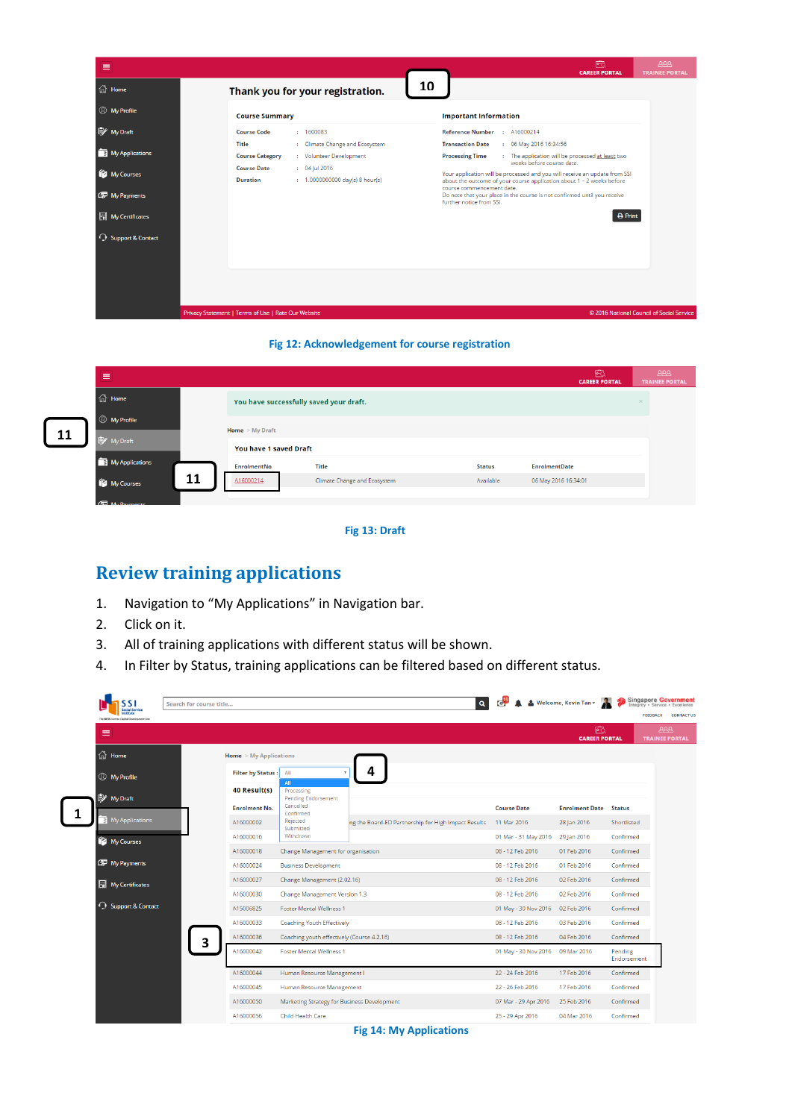

## **Fig 12: Acknowledgement for course registration**

| $\equiv$                    |                          |                                         |               | 囪<br><b>CAREER PORTAL</b> | <b>BBB</b><br><b>TRAINEE PORTAL</b> |
|-----------------------------|--------------------------|-----------------------------------------|---------------|---------------------------|-------------------------------------|
| $\widehat{m}$ Home          |                          | You have successfully saved your draft. |               |                           | $\times$                            |
| <b><i>Q</i></b> My Profile  | <b>Home</b> $>$ My Draft |                                         |               |                           |                                     |
| 眇<br>My Draft               | You have 1 saved Draft   |                                         |               |                           |                                     |
| My Applications             | <b>EnrolmentNo</b>       | <b>Title</b>                            | <b>Status</b> | <b>EnrolmentDate</b>      |                                     |
| 11<br><b>THE My Courses</b> | A16000214                | Climate Change and Ecosystem            | Available     | 06 May 2016 16:34:01      |                                     |
|                             |                          |                                         |               |                           |                                     |

## **Fig 13: Draft**

# **Review training applications**

- 1. Navigation to "My Applications" in Navigation bar.
- 2. Click on it.

**11**

- 3. All of training applications with different status will be shown.
- 4. In Filter by Status, training applications can be filtered based on different status.

| <b>Social Service</b><br>The NCSS Human Capital Development Ann |                                 |                                                      |                                                     |                      |                              | <b>FEEDBACK</b>                     |
|-----------------------------------------------------------------|---------------------------------|------------------------------------------------------|-----------------------------------------------------|----------------------|------------------------------|-------------------------------------|
| Ξ                                                               |                                 |                                                      |                                                     |                      | 凾<br><b>CAREER PORTAL</b>    | <b>AAA</b><br><b>TRAINEE PORTAL</b> |
| d Home                                                          | <b>Home</b> $>$ My Applications |                                                      |                                                     |                      |                              |                                     |
| <b>Wy Profile</b>                                               | Filter by Status: All           |                                                      |                                                     |                      |                              |                                     |
|                                                                 | 40 Result(s)                    | All<br>Processing                                    |                                                     |                      |                              |                                     |
| My Draft                                                        | <b>Enrolment No.</b>            | <b>Pending Endorsement</b><br>Cancelled<br>Confirmed |                                                     | <b>Course Date</b>   | <b>Enrolment Date</b> Status |                                     |
| My Applications                                                 | A16000002                       | Rejected<br>Submitted                                | ng the Board-ED Partnership for High Impact Results | 11 Mar 2016          | 28 Jan 2016                  | Shortlisted                         |
| <b><i>My Courses</i></b>                                        | A16000016                       | Withdrawn                                            |                                                     | 01 Mar - 31 May 2016 | 29 Jan 2016                  | Confirmed                           |
|                                                                 | A16000018                       | Change Management for organisation                   |                                                     | 08 - 12 Feb 2016     | 01 Feb 2016                  | Confirmed                           |
| My Payments                                                     | A16000024                       | <b>Business Development</b>                          |                                                     | 08 - 12 Feb 2016     | 01 Feb 2016                  | Confirmed                           |
| My Certificates                                                 | A16000027                       | Change Management (2.02.16)                          |                                                     | 08 - 12 Feb 2016     | 02 Feb 2016                  | Confirmed                           |
|                                                                 | A16000030                       | Change Management Version 1.3                        |                                                     | 08 - 12 Feb 2016     | 02 Feb 2016                  | Confirmed                           |
| <b>C</b> Support & Contact                                      | A15006825                       | <b>Foster Mental Wellness 1</b>                      |                                                     | 01 May - 30 Nov 2016 | 02 Feb 2016                  | Confirmed                           |
|                                                                 | A16000033                       | <b>Coaching Youth Effectively</b>                    |                                                     | 08 - 12 Feb 2016     | 03 Feb 2016                  | Confirmed                           |
|                                                                 | A16000036<br>з                  | Coaching youth effectively (Course 4.2.16)           |                                                     | 08 - 12 Feb 2016     | 04 Feb 2016                  | Confirmed                           |
|                                                                 | A16000042                       | <b>Foster Mental Wellness 1</b>                      |                                                     | 01 May - 30 Nov 2016 | 09 Mar 2016                  | Pending<br>Endorsement              |
|                                                                 | A16000044                       | Human Resource Management I                          |                                                     | 22 - 24 Feb 2016     | 17 Feb 2016                  | Confirmed                           |
|                                                                 | A16000045                       | Human Resource Management                            |                                                     | 22 - 26 Feb 2016     | 17 Feb 2016                  | Confirmed                           |
|                                                                 | A16000050                       | Marketing Strategy for Business Development          |                                                     | 07 Mar - 29 Apr 2016 | 25 Feb 2016                  | Confirmed                           |

 **Fig 14: My Applications**